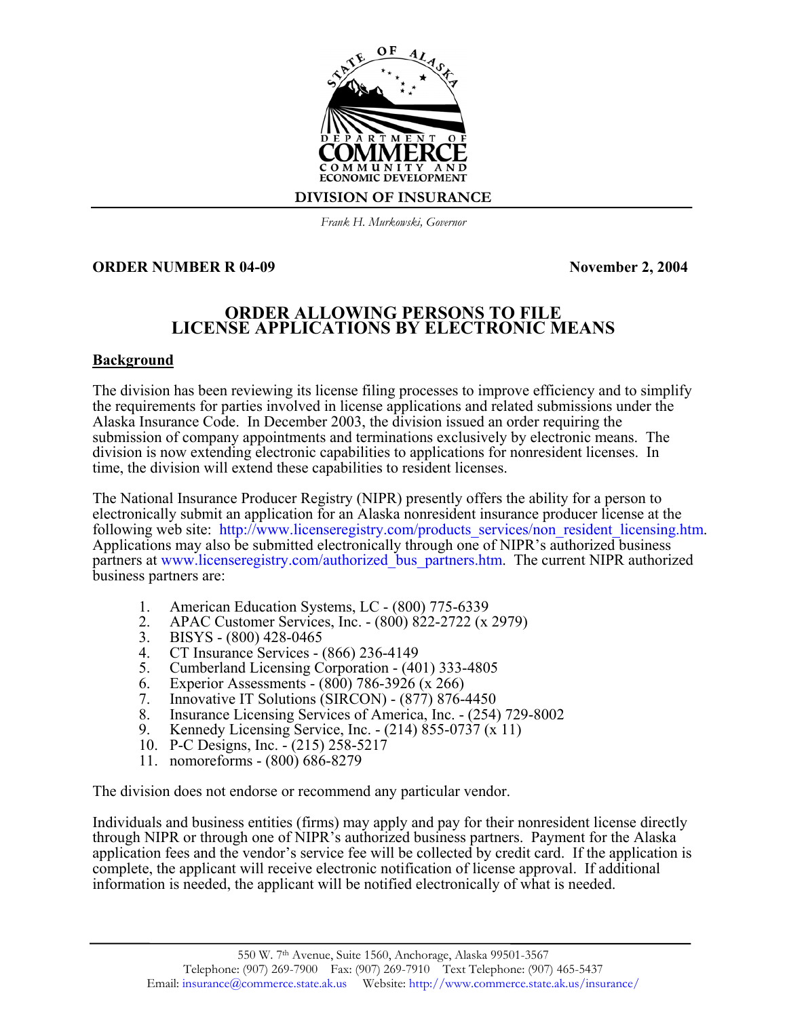

*Frank H. Murkowski, Governor*

#### **ORDER NUMBER R 04-09** November 2, 2004

## **ORDER ALLOWING PERSONS TO FILE LICENSE APPLICATIONS BY ELECTRONIC MEANS**

#### **Background**

The division has been reviewing its license filing processes to improve efficiency and to simplify the requirements for parties involved in license applications and related submissions under the Alaska Insurance Code. In December 2003, the division issued an order requiring the submission of company appointments and terminations exclusively by electronic means. The division is now extending electronic capabilities to applications for nonresident licenses. In time, the division will extend these capabilities to resident licenses.

The National Insurance Producer Registry (NIPR) presently offers the ability for a person to electronically submit an application for an Alaska nonresident insurance producer license at the following web site: [http://www.licenseregistry.com/products\\_services/non\\_resident\\_licensing.htm.](http://www.licenseregistry.com/products_services/non_resident_licensing.htm) Applications may also be submitted electronically through one of NIPR's authorized business partners at www.licenseregistry.com/authorized bus partners.htm. The current NIPR authorized business partners are:

- 1. American Education Systems, LC (800) 775-6339<br>2. APAC Customer Services. Inc. (800) 822-2722 (x
- 2. APAC Customer Services, Inc. (800) 822-2722 (x 2979)<br>3. BISYS (800) 428-0465
- 3. BISYS (800) 428-0465<br>4. CT Insurance Services (
- 4. CT Insurance Services (866) 236-4149
- 5. Cumberland Licensing Corporation (401) 333-4805
- 6. Experior Assessments (800) 786-3926 (x 266)<br>7. Innovative IT Solutions (SIRCON) (877) 876-4
- Innovative IT Solutions (SIRCON) (877) 876-4450
- 8. Insurance Licensing Services of America, Inc. (254) 729-8002
- 9. Kennedy Licensing Service, Inc. (214) 855-0737 (x 11)
- 10. P-C Designs, Inc. (215) 258-5217
- 11. nomoreforms (800) 686-8279

The division does not endorse or recommend any particular vendor.

Individuals and business entities (firms) may apply and pay for their nonresident license directly through NIPR or through one of NIPR's authorized business partners. Payment for the Alaska application fees and the vendor's service fee will be collected by credit card. If the application is complete, the applicant will receive electronic notification of license approval. If additional information is needed, the applicant will be notified electronically of what is needed.